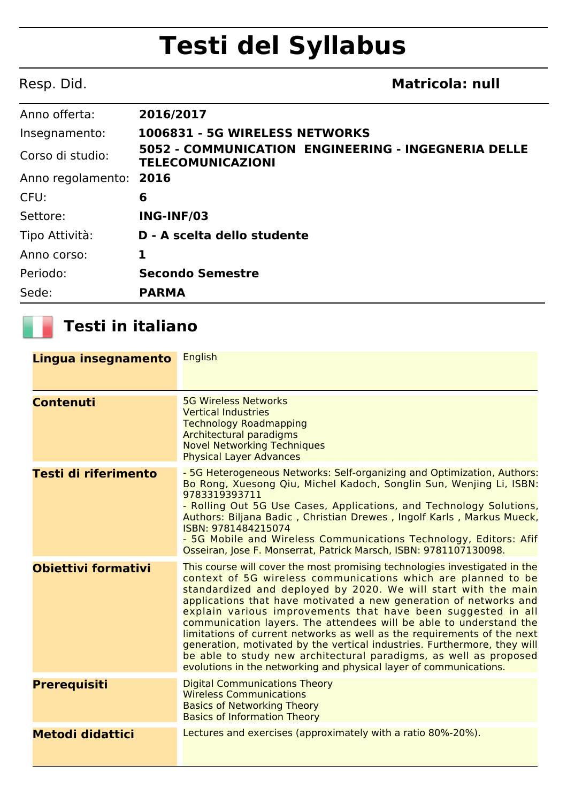## **Testi del Syllabus**

| Resp. Did.        | <b>Matricola: null</b>                                                          |
|-------------------|---------------------------------------------------------------------------------|
| Anno offerta:     | 2016/2017                                                                       |
| Insegnamento:     | 1006831 - 5G WIRELESS NETWORKS                                                  |
| Corso di studio:  | 5052 - COMMUNICATION ENGINEERING - INGEGNERIA DELLE<br><b>TELECOMUNICAZIONI</b> |
| Anno regolamento: | 2016                                                                            |
| CFU:              | 6                                                                               |
| Settore:          | ING-INF/03                                                                      |
| Tipo Attività:    | D - A scelta dello studente                                                     |
| Anno corso:       | 1                                                                               |
| Periodo:          | <b>Secondo Semestre</b>                                                         |
| Sede:             | <b>PARMA</b>                                                                    |

## **Testi in italiano**

| Lingua insegnamento     | <b>English</b>                                                                                                                                                                                                                                                                                                                                                                                                                                                                                                                                                                                                                                                                                                             |
|-------------------------|----------------------------------------------------------------------------------------------------------------------------------------------------------------------------------------------------------------------------------------------------------------------------------------------------------------------------------------------------------------------------------------------------------------------------------------------------------------------------------------------------------------------------------------------------------------------------------------------------------------------------------------------------------------------------------------------------------------------------|
| <b>Contenuti</b>        | <b>5G Wireless Networks</b><br><b>Vertical Industries</b><br><b>Technology Roadmapping</b><br><b>Architectural paradigms</b><br><b>Novel Networking Techniques</b><br><b>Physical Layer Advances</b>                                                                                                                                                                                                                                                                                                                                                                                                                                                                                                                       |
| Testi di riferimento    | - 5G Heterogeneous Networks: Self-organizing and Optimization, Authors:<br>Bo Rong, Xuesong Qiu, Michel Kadoch, Songlin Sun, Wenjing Li, ISBN:<br>9783319393711<br>- Rolling Out 5G Use Cases, Applications, and Technology Solutions,<br>Authors: Biljana Badic, Christian Drewes, Ingolf Karls, Markus Mueck,<br>ISBN: 9781484215074<br>- 5G Mobile and Wireless Communications Technology, Editors: Afif<br>Osseiran, Jose F. Monserrat, Patrick Marsch, ISBN: 9781107130098.                                                                                                                                                                                                                                           |
| Obiettivi formativi     | This course will cover the most promising technologies investigated in the<br>context of 5G wireless communications which are planned to be<br>standardized and deployed by 2020. We will start with the main<br>applications that have motivated a new generation of networks and<br>explain various improvements that have been suggested in all<br>communication layers. The attendees will be able to understand the<br>limitations of current networks as well as the requirements of the next<br>generation, motivated by the vertical industries. Furthermore, they will<br>be able to study new architectural paradigms, as well as proposed<br>evolutions in the networking and physical layer of communications. |
| <b>Prerequisiti</b>     | <b>Digital Communications Theory</b><br><b>Wireless Communications</b><br><b>Basics of Networking Theory</b><br><b>Basics of Information Theory</b>                                                                                                                                                                                                                                                                                                                                                                                                                                                                                                                                                                        |
| <b>Metodi didattici</b> | Lectures and exercises (approximately with a ratio 80%-20%).                                                                                                                                                                                                                                                                                                                                                                                                                                                                                                                                                                                                                                                               |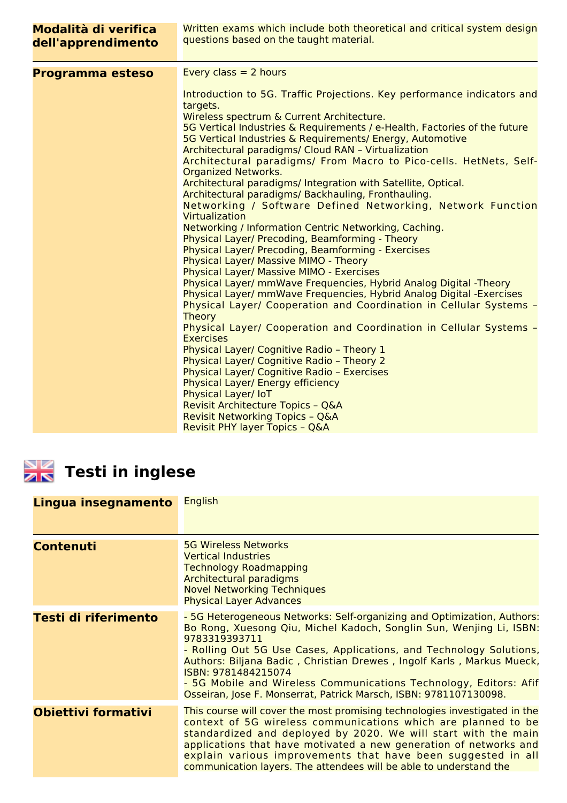| Modalità di verifica<br>dell'apprendimento | Written exams which include both theoretical and critical system design<br>questions based on the taught material.                                                                                                                                                                                                                                                                                                                                                                                                                                                                                                                                                                                                                                                                                                                                                                                                                                                                                                                                                                                                                                                                                                                                                                                                                                                                                                                                                                                              |
|--------------------------------------------|-----------------------------------------------------------------------------------------------------------------------------------------------------------------------------------------------------------------------------------------------------------------------------------------------------------------------------------------------------------------------------------------------------------------------------------------------------------------------------------------------------------------------------------------------------------------------------------------------------------------------------------------------------------------------------------------------------------------------------------------------------------------------------------------------------------------------------------------------------------------------------------------------------------------------------------------------------------------------------------------------------------------------------------------------------------------------------------------------------------------------------------------------------------------------------------------------------------------------------------------------------------------------------------------------------------------------------------------------------------------------------------------------------------------------------------------------------------------------------------------------------------------|
| Programma esteso                           | Every class $= 2$ hours<br>Introduction to 5G. Traffic Projections. Key performance indicators and<br>targets.<br>Wireless spectrum & Current Architecture.<br>5G Vertical Industries & Requirements / e-Health, Factories of the future<br>5G Vertical Industries & Requirements/ Energy, Automotive<br>Architectural paradigms/ Cloud RAN - Virtualization<br>Architectural paradigms/ From Macro to Pico-cells. HetNets, Self-<br><b>Organized Networks.</b><br>Architectural paradigms/ Integration with Satellite, Optical.<br>Architectural paradigms/ Backhauling, Fronthauling.<br>Networking / Software Defined Networking, Network Function<br>Virtualization<br>Networking / Information Centric Networking, Caching.<br>Physical Layer/ Precoding, Beamforming - Theory<br>Physical Layer/ Precoding, Beamforming - Exercises<br>Physical Layer/ Massive MIMO - Theory<br><b>Physical Layer/ Massive MIMO - Exercises</b><br>Physical Layer/ mmWave Frequencies, Hybrid Analog Digital -Theory<br>Physical Layer/ mmWave Frequencies, Hybrid Analog Digital -Exercises<br>Physical Layer/ Cooperation and Coordination in Cellular Systems -<br><b>Theory</b><br>Physical Layer/ Cooperation and Coordination in Cellular Systems -<br><b>Exercises</b><br>Physical Layer/ Cognitive Radio - Theory 1<br>Physical Layer/ Cognitive Radio - Theory 2<br>Physical Layer/ Cognitive Radio - Exercises<br>Physical Layer/ Energy efficiency<br>Physical Layer/ IoT<br>Revisit Architecture Topics - Q&A |
|                                            | <b>Revisit Networking Topics - Q&amp;A</b><br>Revisit PHY layer Topics - Q&A                                                                                                                                                                                                                                                                                                                                                                                                                                                                                                                                                                                                                                                                                                                                                                                                                                                                                                                                                                                                                                                                                                                                                                                                                                                                                                                                                                                                                                    |

## **Testi in inglese**

| Lingua insegnamento        | <b>English</b>                                                                                                                                                                                                                                                                                                                                                                                                                                                                   |
|----------------------------|----------------------------------------------------------------------------------------------------------------------------------------------------------------------------------------------------------------------------------------------------------------------------------------------------------------------------------------------------------------------------------------------------------------------------------------------------------------------------------|
| <b>Contenuti</b>           | <b>5G Wireless Networks</b><br><b>Vertical Industries</b><br><b>Technology Roadmapping</b><br><b>Architectural paradigms</b><br><b>Novel Networking Techniques</b><br><b>Physical Layer Advances</b>                                                                                                                                                                                                                                                                             |
| Testi di riferimento       | - 5G Heterogeneous Networks: Self-organizing and Optimization, Authors:<br>Bo Rong, Xuesong Qiu, Michel Kadoch, Songlin Sun, Wenjing Li, ISBN:<br>9783319393711<br>- Rolling Out 5G Use Cases, Applications, and Technology Solutions,<br>Authors: Biljana Badic, Christian Drewes, Ingolf Karls, Markus Mueck,<br>ISBN: 9781484215074<br>- 5G Mobile and Wireless Communications Technology, Editors: Afif<br>Osseiran, Jose F. Monserrat, Patrick Marsch, ISBN: 9781107130098. |
| <b>Obiettivi formativi</b> | This course will cover the most promising technologies investigated in the<br>context of 5G wireless communications which are planned to be<br>standardized and deployed by 2020. We will start with the main<br>applications that have motivated a new generation of networks and<br>explain various improvements that have been suggested in all<br>communication layers. The attendees will be able to understand the                                                         |